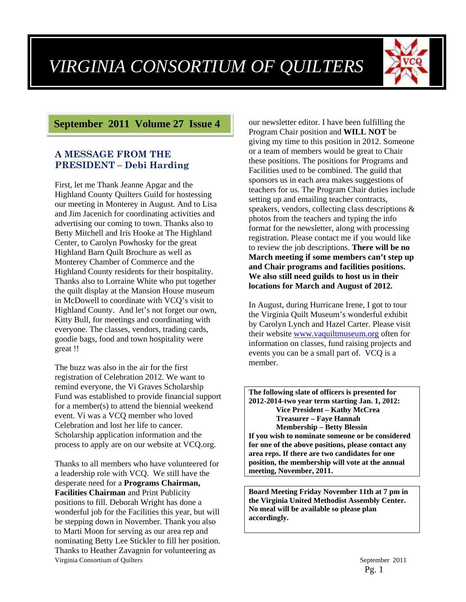

## **September 2011 Volume 27 Issue 4**

#### **A MESSAGE FROM THE PRESIDENT – Debi Harding**

First, let me Thank Jeanne Apgar and the Highland County Quilters Guild for hostessing our meeting in Monterey in August. And to Lisa and Jim Jacenich for coordinating activities and advertising our coming to town. Thanks also to Betty Mitchell and Iris Hooke at The Highland Center, to Carolyn Powhosky for the great Highland Barn Quilt Brochure as well as Monterey Chamber of Commerce and the Highland County residents for their hospitality. Thanks also to Lorraine White who put together the quilt display at the Mansion House museum in McDowell to coordinate with VCQ's visit to Highland County. And let's not forget our own, Kitty Bull, for meetings and coordinating with everyone. The classes, vendors, trading cards, goodie bags, food and town hospitality were great !!

The buzz was also in the air for the first registration of Celebration 2012. We want to remind everyone, the Vi Graves Scholarship Fund was established to provide financial support for a member(s) to attend the biennial weekend event. Vi was a VCQ member who loved Celebration and lost her life to cancer. Scholarship application information and the process to apply are on our website at VCQ.org.

Virginia Consortium of Quilters September 2011 Thanks to all members who have volunteered for a leadership role with VCQ. We still have the desperate need for a **Programs Chairman, Facilities Chairman** and Print Publicity positions to fill. Deborah Wright has done a wonderful job for the Facilities this year, but will be stepping down in November. Thank you also to Marti Moon for serving as our area rep and nominating Betty Lee Stickler to fill her position. Thanks to Heather Zavagnin for volunteering as

our newsletter editor. I have been fulfilling the Program Chair position and **WILL NOT** be giving my time to this position in 2012. Someone or a team of members would be great to Chair these positions. The positions for Programs and Facilities used to be combined. The guild that sponsors us in each area makes suggestions of teachers for us. The Program Chair duties include setting up and emailing teacher contracts, speakers, vendors, collecting class descriptions & photos from the teachers and typing the info format for the newsletter, along with processing registration. Please contact me if you would like to review the job descriptions. **There will be no March meeting if some members can't step up and Chair programs and facilities positions. We also still need guilds to host us in their locations for March and August of 2012.** 

In August, during Hurricane Irene, I got to tour the Virginia Quilt Museum's wonderful exhibit by Carolyn Lynch and Hazel Carter. Please visit their website www.vaquiltmuseum.org often for information on classes, fund raising projects and events you can be a small part of. VCQ is a member.

**The following slate of officers is presented for 2012-2014-two year term starting Jan. 1, 2012: Vice President – Kathy McCrea Treasurer – Faye Hannah Membership – Betty Blessin If you wish to nominate someone or be considered for one of the above positions, please contact any area reps. If there are two candidates for one position, the membership will vote at the annual meeting, November, 2011.** 

**Board Meeting Friday November 11th at 7 pm in the Virginia United Methodist Assembly Center. No meal will be available so please plan accordingly.**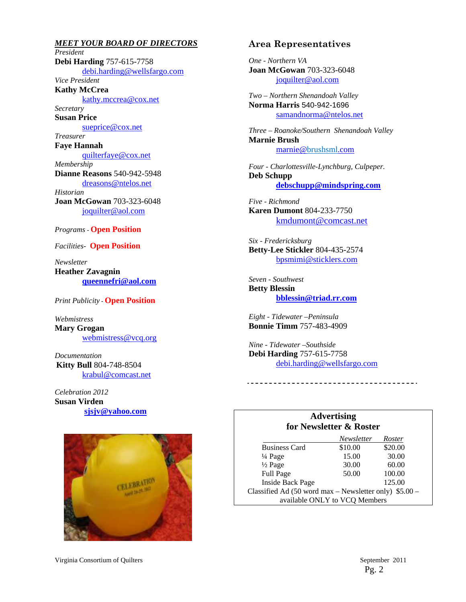*MEET YOUR BOARD OF DIRECTORS President*  **Debi Harding** 757-615-7758 debi.harding@wellsfargo.com *Vice President*  **Kathy McCrea**  kathy.mccrea@cox.net *Secretary*  **Susan Price**  sueprice@cox.net *Treasurer*  **Faye Hannah**  quilterfaye@cox.net *Membership*  **Dianne Reasons** 540-942-5948 dreasons@ntelos.net *Historian*  **Joan McGowan** 703-323-6048 joquilter@aol.com

#### *Programs -* **Open Position**

*Facilities-* **Open Position** 

*Newsletter*  **Heather Zavagnin queennefri@aol.com**

*Print Publicity -* **Open Position** 

*Webmistress*  **Mary Grogan**  webmistress@vcq.org

*Documentation*  **Kitty Bull** 804-748-8504 krabul@comcast.net

*Celebration 2012* **Susan Virden sjsjv@yahoo.com**



#### **Area Representatives**

*One - Northern VA*  **Joan McGowan** 703-323-6048 joquilter@aol.com

*Two – Northern Shenandoah Valley*  **Norma Harris** 540-942-1696 samandnorma@ntelos.net

*Three – Roanoke/Southern Shenandoah Valley*  **Marnie Brush** marnie@brushsml.com

*Four - Charlottesville-Lynchburg, Culpeper.*  **Deb Schupp debschupp@mindspring.com**

*Five - Richmond*  **Karen Dumont** 804-233-7750 kmdumont@comcast.net

*Six - Fredericksburg*  **Betty-Lee Stickler** 804-435-2574 bpsmimi@sticklers.com

*Seven - Southwest*  **Betty Blessin bblessin@triad.rr.com**

*Eight - Tidewater –Peninsula*  **Bonnie Timm** 757-483-4909

*Nine - Tidewater –Southside*  **Debi Harding** 757-615-7758 debi.harding@wellsfargo.com

#### **Advertising for Newsletter & Roster**

|                                                           | Newsletter | Roster  |  |
|-----------------------------------------------------------|------------|---------|--|
| <b>Business Card</b>                                      | \$10.00    | \$20.00 |  |
| $\frac{1}{4}$ Page                                        | 15.00      | 30.00   |  |
| $\frac{1}{2}$ Page                                        | 30.00      | 60.00   |  |
| Full Page                                                 | 50.00      | 100.00  |  |
| <b>Inside Back Page</b>                                   |            | 125.00  |  |
| Classified Ad $(50$ word max – Newsletter only) $$5.00$ – |            |         |  |
| available ONLY to VCQ Members                             |            |         |  |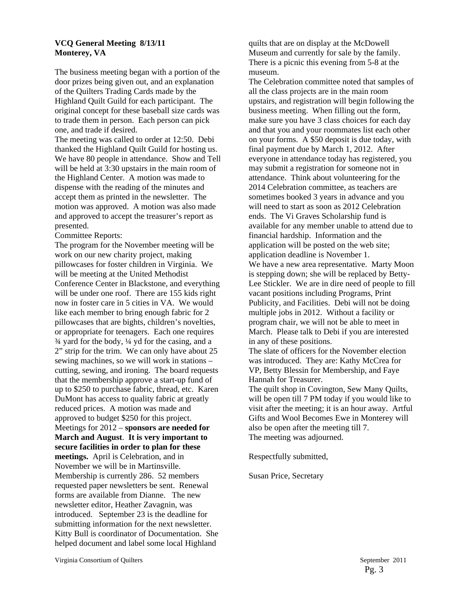#### **VCQ General Meeting 8/13/11 Monterey, VA**

The business meeting began with a portion of the door prizes being given out, and an explanation of the Quilters Trading Cards made by the Highland Quilt Guild for each participant. The original concept for these baseball size cards was to trade them in person. Each person can pick one, and trade if desired.

The meeting was called to order at 12:50. Debi thanked the Highland Quilt Guild for hosting us. We have 80 people in attendance. Show and Tell will be held at 3:30 upstairs in the main room of the Highland Center. A motion was made to dispense with the reading of the minutes and accept them as printed in the newsletter. The motion was approved. A motion was also made and approved to accept the treasurer's report as presented.

Committee Reports:

The program for the November meeting will be work on our new charity project, making pillowcases for foster children in Virginia. We will be meeting at the United Methodist Conference Center in Blackstone, and everything will be under one roof. There are 155 kids right now in foster care in 5 cities in VA. We would like each member to bring enough fabric for 2 pillowcases that are bights, children's novelties, or appropriate for teenagers. Each one requires ¾ yard for the body, ¼ yd for the casing, and a 2" strip for the trim. We can only have about 25 sewing machines, so we will work in stations – cutting, sewing, and ironing. The board requests that the membership approve a start-up fund of up to \$250 to purchase fabric, thread, etc. Karen DuMont has access to quality fabric at greatly reduced prices. A motion was made and approved to budget \$250 for this project. Meetings for 2012 – **sponsors are needed for March and August**. **It is very important to secure facilities in order to plan for these meetings.** April is Celebration, and in November we will be in Martinsville. Membership is currently 286. 52 members requested paper newsletters be sent. Renewal forms are available from Dianne. The new newsletter editor, Heather Zavagnin, was introduced. September 23 is the deadline for submitting information for the next newsletter. Kitty Bull is coordinator of Documentation. She helped document and label some local Highland

quilts that are on display at the McDowell Museum and currently for sale by the family. There is a picnic this evening from 5-8 at the museum.

The Celebration committee noted that samples of all the class projects are in the main room upstairs, and registration will begin following the business meeting. When filling out the form, make sure you have 3 class choices for each day and that you and your roommates list each other on your forms. A \$50 deposit is due today, with final payment due by March 1, 2012. After everyone in attendance today has registered, you may submit a registration for someone not in attendance. Think about volunteering for the 2014 Celebration committee, as teachers are sometimes booked 3 years in advance and you will need to start as soon as 2012 Celebration ends. The Vi Graves Scholarship fund is available for any member unable to attend due to financial hardship. Information and the application will be posted on the web site; application deadline is November 1. We have a new area representative. Marty Moon is stepping down; she will be replaced by Betty-Lee Stickler. We are in dire need of people to fill vacant positions including Programs, Print Publicity, and Facilities. Debi will not be doing multiple jobs in 2012. Without a facility or program chair, we will not be able to meet in March. Please talk to Debi if you are interested in any of these positions. The slate of officers for the November election was introduced. They are: Kathy McCrea for VP, Betty Blessin for Membership, and Faye Hannah for Treasurer. The quilt shop in Covington, Sew Many Quilts, will be open till 7 PM today if you would like to

visit after the meeting; it is an hour away. Artful Gifts and Wool Becomes Ewe in Monterey will also be open after the meeting till 7. The meeting was adjourned.

Respectfully submitted,

Susan Price, Secretary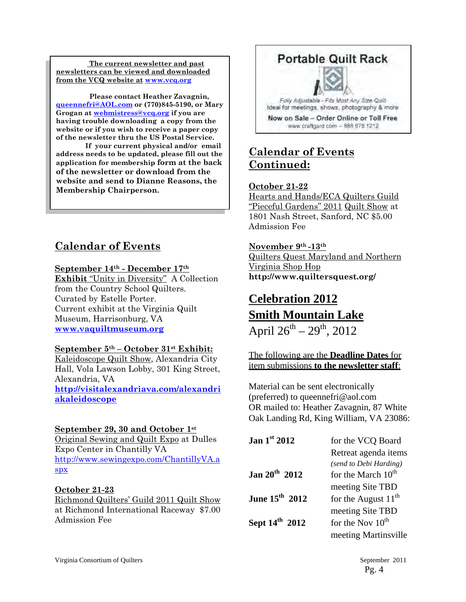**The current newsletter and past newsletters can be viewed and downloaded from the VCQ website at www.vcq.org**

 **Please contact Heather Zavagnin, queennefri@AOL.com or (770)845-5190, or Mary Grogan at webmistress@vcq.org if you are having trouble downloading a copy from the website or if you wish to receive a paper copy of the newsletter thru the US Postal Service.** 

 **If your current physical and/or email address needs to be updated, please fill out the application for membership form at the back of the newsletter or download from the website and send to Dianne Reasons, the Membership Chairperson.** 

## **Calendar of Events**

#### **September 14th - December 17th**

**Exhibit** "Unity in Diversity" A Collection from the Country School Quilters. Curated by Estelle Porter. Current exhibit at the Virginia Quilt Museum, Harrisonburg, VA **www.vaquiltmuseum.org**

#### **September 5th – October 31st Exhibit:**

Kaleidoscope Quilt Show, Alexandria City Hall, Vola Lawson Lobby, 301 King Street, Alexandria, VA **http://visitalexandriava.com/alexandri akaleidoscope**

#### **September 29, 30 and October 1st**

Original Sewing and Quilt Expo at Dulles Expo Center in Chantilly VA http://www.sewingexpo.com/ChantillyVA.a spx

#### **October 21-23**

Richmond Quilters' Guild 2011 Quilt Show at Richmond International Raceway \$7.00 Admission Fee



## **Calendar of Events Continued:**

#### **October 21-22**

Hearts and Hands/ECA Quilters Guild "Pieceful Gardens" 2011 Quilt Show at 1801 Nash Street, Sanford, NC \$5.00 Admission Fee

#### **November 9th -13th**

Quilters Quest Maryland and Northern Virginia Shop Hop **http://www.quiltersquest.org/** 

# **Celebration 2012 Smith Mountain Lake**

April  $26^{th} - 29^{th}$ , 2012

The following are the **Deadline Dates** for item submissions **to the newsletter staff**:

Material can be sent electronically (preferred) to queennefri@aol.com OR mailed to: Heather Zavagnin, 87 White Oak Landing Rd, King William, VA 23086:

| Jan $1st 2012$             | for the VCQ Board              |
|----------------------------|--------------------------------|
|                            | Retreat agenda items           |
|                            | (send to Debi Harding)         |
| Jan $20^{th}$ 2012         | for the March 10 <sup>th</sup> |
|                            | meeting Site TBD               |
| June $15^{th}$ 2012        | for the August $11^{th}$       |
|                            | meeting Site TBD               |
| Sept 14 <sup>th</sup> 2012 | for the Nov $10^{th}$          |
|                            | meeting Martinsville           |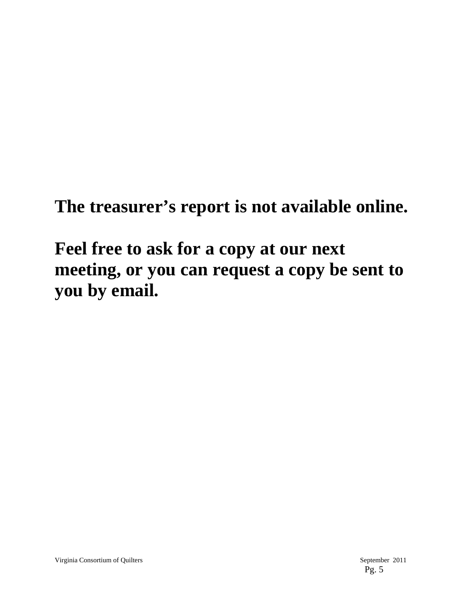**The treasurer's report is not available online.** 

**Feel free to ask for a copy at our next meeting, or you can request a copy be sent to you by email.**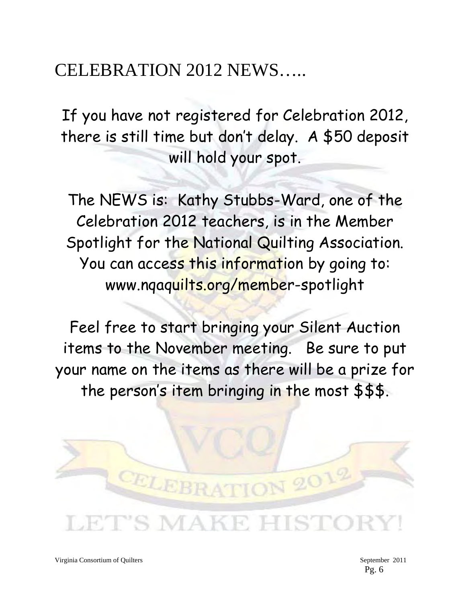# CELEBRATION 2012 NEWS…..

If you have not registered for Celebration 2012, there is still time but don't delay. A \$50 deposit will hold your spot.

The NEWS is: Kathy Stubbs-Ward, one of the Celebration 2012 teachers, is in the Member Spotlight for the National Quilting Association. You can access this information by going to: www.nqaquilts.org/member-spotlight

Feel free to start bringing your Silent Auction items to the November meeting. Be sure to put your name on the items as there will be a prize for the person's item bringing in the most \$\$\$.

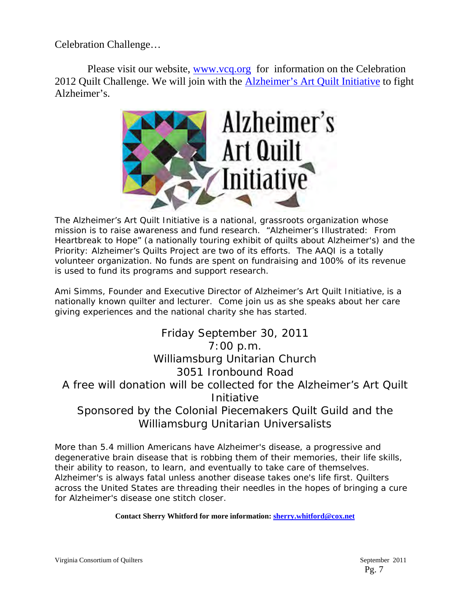Celebration Challenge…

Please visit our website, www.vcq.org for information on the Celebration 2012 Quilt Challenge. We will join with the Alzheimer's Art Quilt Initiative to fight Alzheimer's.



The Alzheimer's Art Quilt Initiative is a national, grassroots organization whose mission is to raise awareness and fund research. "Alzheimer's Illustrated: From Heartbreak to Hope" (a nationally touring exhibit of quilts about Alzheimer's) and the Priority: Alzheimer's Quilts Project are two of its efforts. The AAQI is a totally volunteer organization. No funds are spent on fundraising and 100% of its revenue is used to fund its programs and support research.

Ami Simms, Founder and Executive Director of Alzheimer's Art Quilt Initiative, is a nationally known quilter and lecturer. Come join us as she speaks about her care giving experiences and the national charity she has started.

Friday September 30, 2011 7:00 p.m. Williamsburg Unitarian Church 3051 Ironbound Road A free will donation will be collected for the Alzheimer's Art Quilt Initiative Sponsored by the Colonial Piecemakers Quilt Guild and the Williamsburg Unitarian Universalists

More than 5.4 million Americans have Alzheimer's disease, a progressive and degenerative brain disease that is robbing them of their memories, their life skills, their ability to reason, to learn, and eventually to take care of themselves. Alzheimer's is always fatal unless another disease takes one's life first. Quilters across the United States are threading their needles in the hopes of bringing a cure for Alzheimer's disease one stitch closer.

**Contact Sherry Whitford for more information: sherry.whitford@cox.net**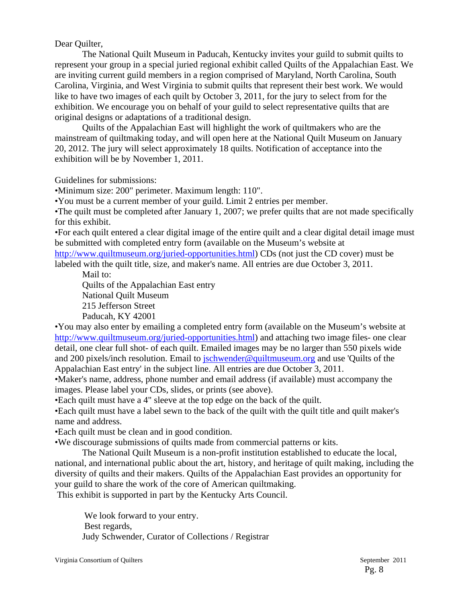#### Dear Quilter,

The National Quilt Museum in Paducah, Kentucky invites your guild to submit quilts to represent your group in a special juried regional exhibit called Quilts of the Appalachian East. We are inviting current guild members in a region comprised of Maryland, North Carolina, South Carolina, Virginia, and West Virginia to submit quilts that represent their best work. We would like to have two images of each quilt by October 3, 2011, for the jury to select from for the exhibition. We encourage you on behalf of your guild to select representative quilts that are original designs or adaptations of a traditional design.

Quilts of the Appalachian East will highlight the work of quiltmakers who are the mainstream of quiltmaking today, and will open here at the National Quilt Museum on January 20, 2012. The jury will select approximately 18 quilts. Notification of acceptance into the exhibition will be by November 1, 2011.

Guidelines for submissions:

•Minimum size: 200" perimeter. Maximum length: 110".

•You must be a current member of your guild. Limit 2 entries per member.

•The quilt must be completed after January 1, 2007; we prefer quilts that are not made specifically for this exhibit.

•For each quilt entered a clear digital image of the entire quilt and a clear digital detail image must be submitted with completed entry form (available on the Museum's website at http://www.quiltmuseum.org/juried-opportunities.html) CDs (not just the CD cover) must be labeled with the quilt title, size, and maker's name. All entries are due October 3, 2011.

Mail to: Quilts of the Appalachian East entry

National Quilt Museum 215 Jefferson Street Paducah, KY 42001

•You may also enter by emailing a completed entry form (available on the Museum's website at http://www.quiltmuseum.org/juried-opportunities.html) and attaching two image files- one clear detail, one clear full shot- of each quilt. Emailed images may be no larger than 550 pixels wide and 200 pixels/inch resolution. Email to jschwender@quiltmuseum.org and use 'Quilts of the Appalachian East entry' in the subject line. All entries are due October 3, 2011.

•Maker's name, address, phone number and email address (if available) must accompany the images. Please label your CDs, slides, or prints (see above).

•Each quilt must have a 4" sleeve at the top edge on the back of the quilt.

•Each quilt must have a label sewn to the back of the quilt with the quilt title and quilt maker's name and address.

•Each quilt must be clean and in good condition.

•We discourage submissions of quilts made from commercial patterns or kits.

The National Quilt Museum is a non-profit institution established to educate the local, national, and international public about the art, history, and heritage of quilt making, including the diversity of quilts and their makers. Quilts of the Appalachian East provides an opportunity for your guild to share the work of the core of American quiltmaking.

This exhibit is supported in part by the Kentucky Arts Council.

 We look forward to your entry. Best regards, Judy Schwender, Curator of Collections / Registrar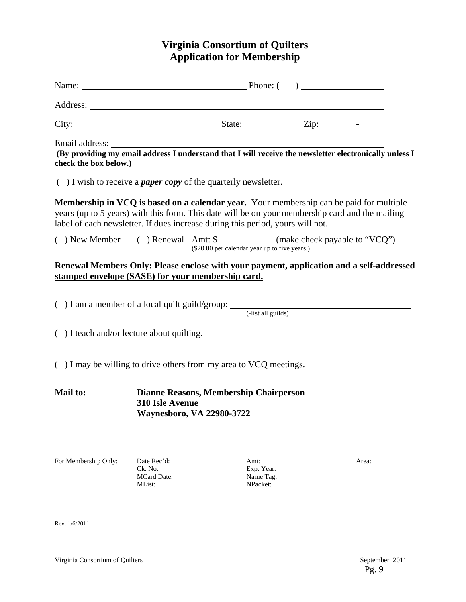## **Virginia Consortium of Quilters Application for Membership**

| check the box below.)                                                                                                                                                                                                                                                        |                        |                                                                            |                         |       |  |
|------------------------------------------------------------------------------------------------------------------------------------------------------------------------------------------------------------------------------------------------------------------------------|------------------------|----------------------------------------------------------------------------|-------------------------|-------|--|
| $( )$ I wish to receive a <i>paper copy</i> of the quarterly newsletter.                                                                                                                                                                                                     |                        |                                                                            |                         |       |  |
| Membership in VCQ is based on a calendar year. Your membership can be paid for multiple<br>years (up to 5 years) with this form. This date will be on your membership card and the mailing<br>label of each newsletter. If dues increase during this period, yours will not. |                        |                                                                            |                         |       |  |
| () New Member () Renewal Amt: \$____________(make check payable to "VCQ")                                                                                                                                                                                                    |                        | (\$20.00 per calendar year up to five years.)                              |                         |       |  |
| Renewal Members Only: Please enclose with your payment, application and a self-addressed<br>stamped envelope (SASE) for your membership card.                                                                                                                                |                        |                                                                            |                         |       |  |
| $( ) I$ am a member of a local quilt guild/group: $( )$ -list all guilds)                                                                                                                                                                                                    |                        |                                                                            |                         |       |  |
| $( )$ I teach and/or lecture about quilting.                                                                                                                                                                                                                                 |                        |                                                                            |                         |       |  |
| $( )$ I may be willing to drive others from my area to VCQ meetings.                                                                                                                                                                                                         |                        |                                                                            |                         |       |  |
| <b>Mail to:</b>                                                                                                                                                                                                                                                              | 310 Isle Avenue        | <b>Dianne Reasons, Membership Chairperson</b><br>Waynesboro, VA 22980-3722 |                         |       |  |
| For Membership Only:                                                                                                                                                                                                                                                         | Ck. No.<br>MCard Date: |                                                                            | Exp. Year:<br>Name Tag: | Area: |  |

Rev. 1/6/2011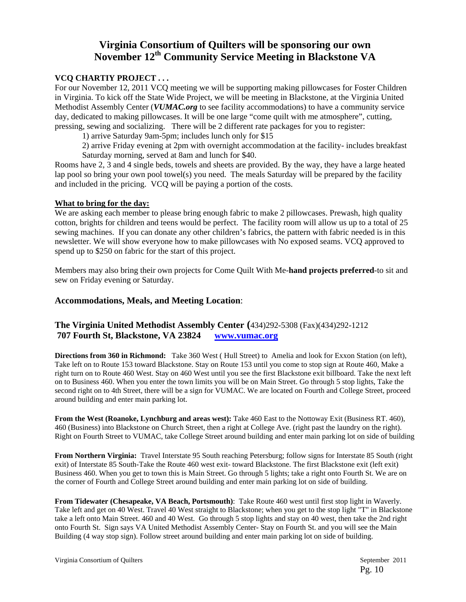### **Virginia Consortium of Quilters will be sponsoring our own November 12th Community Service Meeting in Blackstone VA**

#### **VCQ CHARTIY PROJECT . . .**

For our November 12, 2011 VCQ meeting we will be supporting making pillowcases for Foster Children in Virginia. To kick off the State Wide Project, we will be meeting in Blackstone, at the Virginia United Methodist Assembly Center (*VUMAC.org* to see facility accommodations) to have a community service day, dedicated to making pillowcases. It will be one large "come quilt with me atmosphere", cutting, pressing, sewing and socializing. There will be 2 different rate packages for you to register:

1) arrive Saturday 9am-5pm; includes lunch only for \$15

 2) arrive Friday evening at 2pm with overnight accommodation at the facility- includes breakfast Saturday morning, served at 8am and lunch for \$40.

Rooms have 2, 3 and 4 single beds, towels and sheets are provided. By the way, they have a large heated lap pool so bring your own pool towel(s) you need. The meals Saturday will be prepared by the facility and included in the pricing. VCQ will be paying a portion of the costs.

#### **What to bring for the day:**

We are asking each member to please bring enough fabric to make 2 pillowcases. Prewash, high quality cotton, brights for children and teens would be perfect. The facility room will allow us up to a total of 25 sewing machines. If you can donate any other children's fabrics, the pattern with fabric needed is in this newsletter. We will show everyone how to make pillowcases with No exposed seams. VCQ approved to spend up to \$250 on fabric for the start of this project.

Members may also bring their own projects for Come Quilt With Me-**hand projects preferred**-to sit and sew on Friday evening or Saturday.

#### **Accommodations, Meals, and Meeting Location**:

#### **The Virginia United Methodist Assembly Center (**434)292-5308 (Fax)(434)292-1212  **707 Fourth St, Blackstone, VA 23824 www.vumac.org**

**Directions from 360 in Richmond:** Take 360 West ( Hull Street) to Amelia and look for Exxon Station (on left), Take left on to Route 153 toward Blackstone. Stay on Route 153 until you come to stop sign at Route 460, Make a right turn on to Route 460 West. Stay on 460 West until you see the first Blackstone exit billboard. Take the next left on to Business 460. When you enter the town limits you will be on Main Street. Go through 5 stop lights, Take the second right on to 4th Street, there will be a sign for VUMAC. We are located on Fourth and College Street, proceed around building and enter main parking lot.

**From the West (Roanoke, Lynchburg and areas west):** Take 460 East to the Nottoway Exit (Business RT. 460), 460 (Business) into Blackstone on Church Street, then a right at College Ave. (right past the laundry on the right). Right on Fourth Street to VUMAC, take College Street around building and enter main parking lot on side of building

**From Northern Virginia:** Travel Interstate 95 South reaching Petersburg; follow signs for Interstate 85 South (right exit) of Interstate 85 South-Take the Route 460 west exit- toward Blackstone. The first Blackstone exit (left exit) Business 460. When you get to town this is Main Street. Go through 5 lights; take a right onto Fourth St. We are on the corner of Fourth and College Street around building and enter main parking lot on side of building.

**From Tidewater (Chesapeake, VA Beach, Portsmouth)**: Take Route 460 west until first stop light in Waverly. Take left and get on 40 West. Travel 40 West straight to Blackstone; when you get to the stop light "T" in Blackstone take a left onto Main Street. 460 and 40 West. Go through 5 stop lights and stay on 40 west, then take the 2nd right onto Fourth St. Sign says VA United Methodist Assembly Center- Stay on Fourth St. and you will see the Main Building (4 way stop sign). Follow street around building and enter main parking lot on side of building.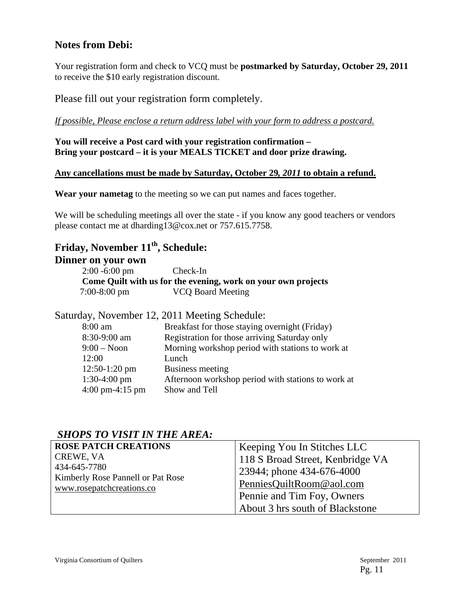## **Notes from Debi:**

Your registration form and check to VCQ must be **postmarked by Saturday, October 29, 2011** to receive the \$10 early registration discount.

Please fill out your registration form completely.

*If possible, Please enclose a return address label with your form to address a postcard.*

**You will receive a Post card with your registration confirmation – Bring your postcard – it is your MEALS TICKET and door prize drawing.** 

#### **Any cancellations must be made by Saturday, October 29***, 2011* **to obtain a refund.**

**Wear your nametag** to the meeting so we can put names and faces together.

We will be scheduling meetings all over the state - if you know any good teachers or vendors please contact me at dharding13@cox.net or 757.615.7758.

## **Friday, November 11th, Schedule:**

#### **Dinner on your own**

 2:00 -6:00 pm Check-In **Come Quilt with us for the evening, work on your own projects**  7:00-8:00 pm VCQ Board Meeting

Saturday, November 12, 2011 Meeting Schedule: 8:00 am Breakfast for those staying overnight (Friday) 8:30-9:00 am Registration for those arriving Saturday only 9:00 – Noon Morning workshop period with stations to work at  $12:00$  Lunch<br> $12:50, 1:20 \text{ nm}$  Ducing

| $12:50-1:20$ pm                   | Business meeting                                   |
|-----------------------------------|----------------------------------------------------|
| $1:30-4:00 \text{ pm}$            | Afternoon workshop period with stations to work at |
| $4:00 \text{ pm}-4:15 \text{ pm}$ | Show and Tell                                      |

## *SHOPS TO VISIT IN THE AREA:*

| <b>ROSE PATCH CREATIONS</b>                       | Keeping You In Stitches LLC      |
|---------------------------------------------------|----------------------------------|
| CREWE, VA                                         | 118 S Broad Street, Kenbridge VA |
| 434-645-7780<br>Kimberly Rose Pannell or Pat Rose | 23944; phone 434-676-4000        |
| www.rosepatchcreations.co                         | PenniesQuiltRoom@aol.com         |
|                                                   | Pennie and Tim Foy, Owners       |
|                                                   | About 3 hrs south of Blackstone  |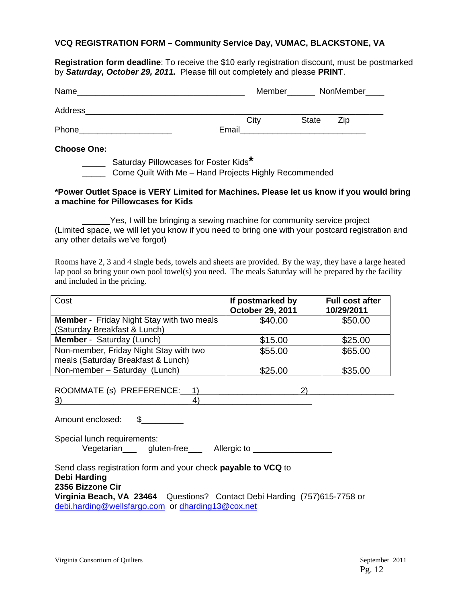#### **VCQ REGISTRATION FORM – Community Service Day, VUMAC, BLACKSTONE, VA**

**Registration form deadline**: To receive the \$10 early registration discount, must be postmarked by *Saturday, October 29, 2011.* Please fill out completely and please **PRINT**.

| Name    |       |      |              | Member NonMember |
|---------|-------|------|--------------|------------------|
| Address |       | City | <b>State</b> | Zip              |
| Phone   | Email |      |              |                  |

#### **Choose One:**

\_\_\_\_\_ Saturday Pillowcases for Foster Kids**\***

**Come Quilt With Me – Hand Projects Highly Recommended** 

#### **\*Power Outlet Space is VERY Limited for Machines. Please let us know if you would bring a machine for Pillowcases for Kids**

Yes, I will be bringing a sewing machine for community service project (Limited space, we will let you know if you need to bring one with your postcard registration and any other details we've forgot)

Rooms have 2, 3 and 4 single beds, towels and sheets are provided. By the way, they have a large heated lap pool so bring your own pool towel(s) you need. The meals Saturday will be prepared by the facility and included in the pricing.

| Cost                                                                                                                           | If postmarked by<br>October 29, 2011 | <b>Full cost after</b><br>10/29/2011 |  |
|--------------------------------------------------------------------------------------------------------------------------------|--------------------------------------|--------------------------------------|--|
| <b>Member</b> - Friday Night Stay with two meals                                                                               | \$40.00                              | \$50.00                              |  |
| (Saturday Breakfast & Lunch)                                                                                                   |                                      |                                      |  |
| <b>Member</b> - Saturday (Lunch)                                                                                               | \$15.00                              | \$25.00                              |  |
| Non-member, Friday Night Stay with two                                                                                         | \$55.00                              | \$65.00                              |  |
| meals (Saturday Breakfast & Lunch)                                                                                             |                                      |                                      |  |
| Non-member - Saturday (Lunch)                                                                                                  | \$25.00                              | \$35.00                              |  |
| ROOMMATE (s) PREFERENCE: 1)<br>(2)<br>$\left(3\right)$<br>4)                                                                   |                                      |                                      |  |
| Amount enclosed:<br>$\mathbb{S}$ and $\mathbb{S}$                                                                              |                                      |                                      |  |
| Special lunch requirements:<br>Vegetarian gluten-free Allergic to                                                              |                                      |                                      |  |
| Send class registration form and your check <b>payable to VCQ</b> to<br><b>Debi Harding</b><br>2356 Bizzone Cir                |                                      |                                      |  |
| Virginia Beach, VA 23464 Questions? Contact Debi Harding (757)615-7758 or<br>debi.harding@wellsfargo.com or dharding13@cox.net |                                      |                                      |  |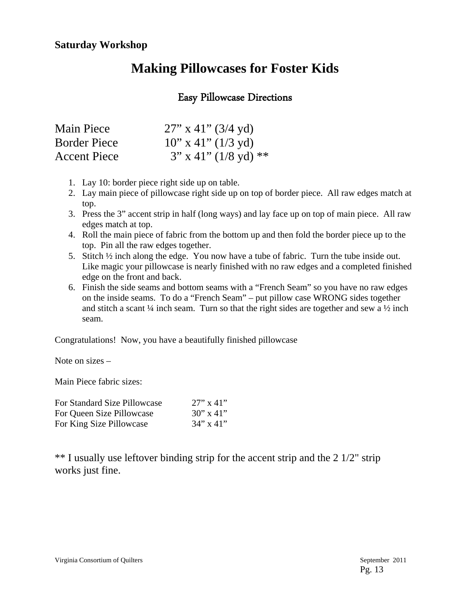## **Making Pillowcases for Foster Kids**

## Easy Pillowcase Directions

| Main Piece          | $27''$ x 41" (3/4 yd)   |
|---------------------|-------------------------|
| <b>Border Piece</b> | $10''$ x 41" (1/3 yd)   |
| <b>Accent Piece</b> | $3''$ x 41" (1/8 yd) ** |

- 1. Lay 10: border piece right side up on table.
- 2. Lay main piece of pillowcase right side up on top of border piece. All raw edges match at top.
- 3. Press the 3" accent strip in half (long ways) and lay face up on top of main piece. All raw edges match at top.
- 4. Roll the main piece of fabric from the bottom up and then fold the border piece up to the top. Pin all the raw edges together.
- 5. Stitch ½ inch along the edge. You now have a tube of fabric. Turn the tube inside out. Like magic your pillowcase is nearly finished with no raw edges and a completed finished edge on the front and back.
- 6. Finish the side seams and bottom seams with a "French Seam" so you have no raw edges on the inside seams. To do a "French Seam" – put pillow case WRONG sides together and stitch a scant  $\frac{1}{4}$  inch seam. Turn so that the right sides are together and sew a  $\frac{1}{2}$  inch seam.

Congratulations! Now, you have a beautifully finished pillowcase

Note on sizes –

Main Piece fabric sizes:

| For Standard Size Pillowcase | $27''$ x 41"       |
|------------------------------|--------------------|
| For Queen Size Pillowcase    | $30'' \times 41''$ |
| For King Size Pillowcase     | $34" \times 41"$   |

\*\* I usually use leftover binding strip for the accent strip and the 2 1/2" strip works just fine.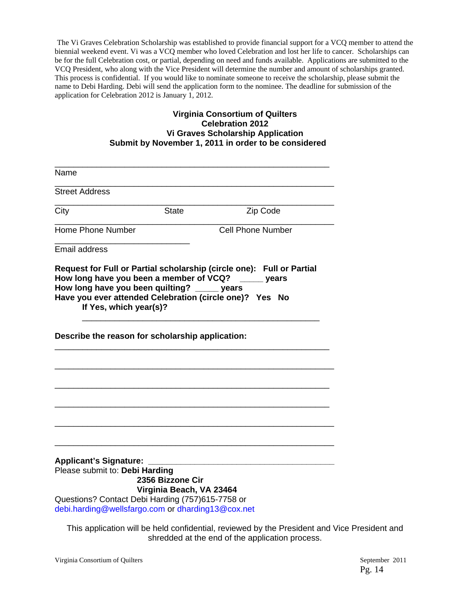The Vi Graves Celebration Scholarship was established to provide financial support for a VCQ member to attend the biennial weekend event. Vi was a VCQ member who loved Celebration and lost her life to cancer. Scholarships can be for the full Celebration cost, or partial, depending on need and funds available. Applications are submitted to the VCQ President, who along with the Vice President will determine the number and amount of scholarships granted. This process is confidential. If you would like to nominate someone to receive the scholarship, please submit the name to Debi Harding. Debi will send the application form to the nominee. The deadline for submission of the application for Celebration 2012 is January 1, 2012.

#### **Virginia Consortium of Quilters Celebration 2012 Vi Graves Scholarship Application Submit by November 1, 2011 in order to be considered**

| Name                                                                                                                                                                     |                                              |                                                                                                                                                                         |
|--------------------------------------------------------------------------------------------------------------------------------------------------------------------------|----------------------------------------------|-------------------------------------------------------------------------------------------------------------------------------------------------------------------------|
| <b>Street Address</b>                                                                                                                                                    |                                              |                                                                                                                                                                         |
| City                                                                                                                                                                     | <b>State</b>                                 | Zip Code                                                                                                                                                                |
| <b>Home Phone Number</b>                                                                                                                                                 |                                              | <b>Cell Phone Number</b>                                                                                                                                                |
| <b>Email address</b>                                                                                                                                                     |                                              |                                                                                                                                                                         |
| How long have you been a member of VCQ?<br>How long have you been quilting?<br>If Yes, which year(s)?                                                                    |                                              | Request for Full or Partial scholarship (circle one): Full or Partial<br>years<br>$\rule{1em}{0.15mm}$ years<br>Have you ever attended Celebration (circle one)? Yes No |
| Describe the reason for scholarship application:                                                                                                                         |                                              |                                                                                                                                                                         |
|                                                                                                                                                                          |                                              |                                                                                                                                                                         |
| <b>Applicant's Signature:</b><br>Please submit to: Debi Harding<br>Questions? Contact Debi Harding (757)615-7758 or<br>debi.harding@wellsfargo.com or dharding13@cox.net | 2356 Bizzone Cir<br>Virginia Beach, VA 23464 |                                                                                                                                                                         |

This application will be held confidential, reviewed by the President and Vice President and shredded at the end of the application process.